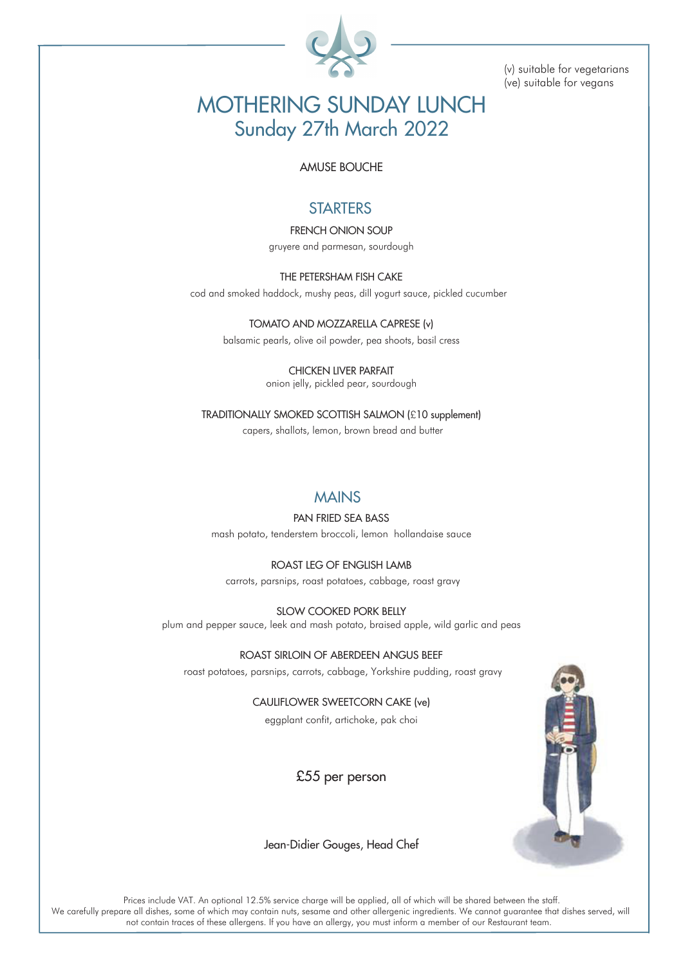

(v) suitable for vegetarians (ve) suitable for vegans

# MOTHERING SUNDAY LUNCH Sunday 27th March 2022

#### AMUSE BOUCHE

## **STARTERS**

FRENCH ONION SOUP gruyere and parmesan, sourdough

THE PETERSHAM FISH CAKE cod and smoked haddock, mushy peas, dill yogurt sauce, pickled cucumber

> TOMATO AND MOZZARELLA CAPRESE (v) balsamic pearls, olive oil powder, pea shoots, basil cress

> > CHICKEN LIVER PARFAIT onion jelly, pickled pear, sourdough

TRADITIONALLY SMOKED SCOTTISH SALMON (£10 supplement) capers, shallots, lemon, brown bread and butter

### **MAINS**

PAN FRIED SEA BASS

mash potato, tenderstem broccoli, lemon hollandaise sauce

ROAST LEG OF ENGLISH LAMB carrots, parsnips, roast potatoes, cabbage, roast gravy

SLOW COOKED PORK BELLY plum and pepper sauce, leek and mash potato, braised apple, wild garlic and peas

ROAST SIRLOIN OF ABERDEEN ANGUS BEEF roast potatoes, parsnips, carrots, cabbage, Yorkshire pudding, roast gravy

> CAULIFLOWER SWEETCORN CAKE (ve) eggplant confit, artichoke, pak choi

> > £55 per person



Jean-Didier Gouges, Head Chef

Prices include VAT. An optional 12.5% service charge will be applied, all of which will be shared between the staff. We carefully prepare all dishes, some of which may contain nuts, sesame and other allergenic ingredients. We cannot guarantee that dishes served, will not contain traces of these allergens. If you have an allergy, you must inform a member of our Restaurant team.